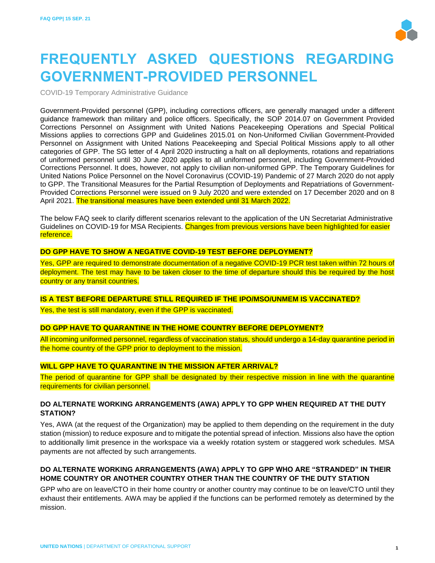

# **FREQUENTLY ASKED QUESTIONS REGARDING GOVERNMENT-PROVIDED PERSONNEL**

COVID-19 Temporary Administrative Guidance

Government-Provided personnel (GPP), including corrections officers, are generally managed under a different guidance framework than military and police officers. Specifically, the SOP 2014.07 on Government Provided Corrections Personnel on Assignment with United Nations Peacekeeping Operations and Special Political Missions applies to corrections GPP and Guidelines 2015.01 on Non-Uniformed Civilian Government-Provided Personnel on Assignment with United Nations Peacekeeping and Special Political Missions apply to all other categories of GPP. The SG letter of 4 April 2020 instructing a halt on all deployments, rotations and repatriations of uniformed personnel until 30 June 2020 applies to all uniformed personnel, including Government-Provided Corrections Personnel. It does, however, not apply to civilian non-uniformed GPP. The Temporary Guidelines for United Nations Police Personnel on the Novel Coronavirus (COVID-19) Pandemic of 27 March 2020 do not apply to GPP. The Transitional Measures for the Partial Resumption of Deployments and Repatriations of Government-Provided Corrections Personnel were issued on 9 July 2020 and were extended on 17 December 2020 and on 8 April 2021. The transitional measures have been extended until 31 March 2022.

The below FAQ seek to clarify different scenarios relevant to the application of the UN Secretariat Administrative Guidelines on COVID-19 for MSA Recipients. Changes from previous versions have been highlighted for easier reference.

#### **DO GPP HAVE TO SHOW A NEGATIVE COVID-19 TEST BEFORE DEPLOYMENT?**

Yes, GPP are required to demonstrate documentation of a negative COVID-19 PCR test taken within 72 hours of deployment. The test may have to be taken closer to the time of departure should this be required by the host country or any transit countries.

#### **IS A TEST BEFORE DEPARTURE STILL REQUIRED IF THE IPO/MSO/UNMEM IS VACCINATED?**

Yes, the test is still mandatory, even if the GPP is vaccinated.

#### **DO GPP HAVE TO QUARANTINE IN THE HOME COUNTRY BEFORE DEPLOYMENT?**

All incoming uniformed personnel, regardless of vaccination status, should undergo a 14-day quarantine period in the home country of the GPP prior to deployment to the mission.

#### **WILL GPP HAVE TO QUARANTINE IN THE MISSION AFTER ARRIVAL?**

The period of quarantine for GPP shall be designated by their respective mission in line with the quarantine requirements for civilian personnel.

# **DO ALTERNATE WORKING ARRANGEMENTS (AWA) APPLY TO GPP WHEN REQUIRED AT THE DUTY STATION?**

Yes, AWA (at the request of the Organization) may be applied to them depending on the requirement in the duty station (mission) to reduce exposure and to mitigate the potential spread of infection. Missions also have the option to additionally limit presence in the workspace via a weekly rotation system or staggered work schedules. MSA payments are not affected by such arrangements.

# **DO ALTERNATE WORKING ARRANGEMENTS (AWA) APPLY TO GPP WHO ARE "STRANDED" IN THEIR HOME COUNTRY OR ANOTHER COUNTRY OTHER THAN THE COUNTRY OF THE DUTY STATION**

GPP who are on leave/CTO in their home country or another country may continue to be on leave/CTO until they exhaust their entitlements. AWA may be applied if the functions can be performed remotely as determined by the mission.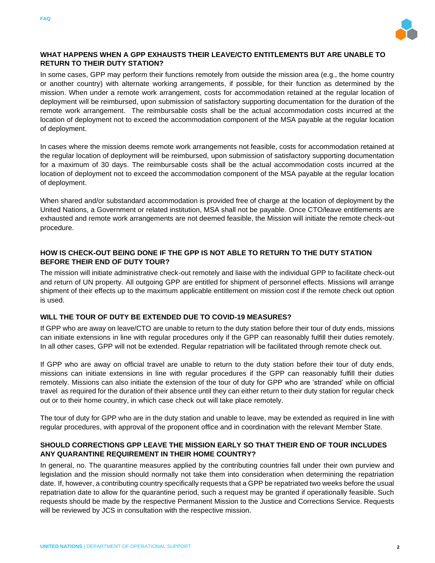



# **WHAT HAPPENS WHEN A GPP EXHAUSTS THEIR LEAVE/CTO ENTITLEMENTS BUT ARE UNABLE TO RETURN TO THEIR DUTY STATION?**

In some cases, GPP may perform their functions remotely from outside the mission area (e.g., the home country or another country) with alternate working arrangements, if possible, for their function as determined by the mission. When under a remote work arrangement, costs for accommodation retained at the regular location of deployment will be reimbursed, upon submission of satisfactory supporting documentation for the duration of the remote work arrangement. The reimbursable costs shall be the actual accommodation costs incurred at the location of deployment not to exceed the accommodation component of the MSA payable at the regular location of deployment.

In cases where the mission deems remote work arrangements not feasible, costs for accommodation retained at the regular location of deployment will be reimbursed, upon submission of satisfactory supporting documentation for a maximum of 30 days. The reimbursable costs shall be the actual accommodation costs incurred at the location of deployment not to exceed the accommodation component of the MSA payable at the regular location of deployment.

When shared and/or substandard accommodation is provided free of charge at the location of deployment by the United Nations, a Government or related institution, MSA shall not be payable. Once CTO/leave entitlements are exhausted and remote work arrangements are not deemed feasible, the Mission will initiate the remote check-out procedure.

# **HOW IS CHECK-OUT BEING DONE IF THE GPP IS NOT ABLE TO RETURN TO THE DUTY STATION BEFORE THEIR END OF DUTY TOUR?**

The mission will initiate administrative check-out remotely and liaise with the individual GPP to facilitate check-out and return of UN property. All outgoing GPP are entitled for shipment of personnel effects. Missions will arrange shipment of their effects up to the maximum applicable entitlement on mission cost if the remote check out option is used.

# **WILL THE TOUR OF DUTY BE EXTENDED DUE TO COVID-19 MEASURES?**

If GPP who are away on leave/CTO are unable to return to the duty station before their tour of duty ends, missions can initiate extensions in line with regular procedures only if the GPP can reasonably fulfill their duties remotely. In all other cases, GPP will not be extended. Regular repatriation will be facilitated through remote check out.

If GPP who are away on official travel are unable to return to the duty station before their tour of duty ends, missions can initiate extensions in line with regular procedures if the GPP can reasonably fulfill their duties remotely. Missions can also initiate the extension of the tour of duty for GPP who are 'stranded' while on official travel as required for the duration of their absence until they can either return to their duty station for regular check out or to their home country, in which case check out will take place remotely.

The tour of duty for GPP who are in the duty station and unable to leave, may be extended as required in line with regular procedures, with approval of the proponent office and in coordination with the relevant Member State.

# **SHOULD CORRECTIONS GPP LEAVE THE MISSION EARLY SO THAT THEIR END OF TOUR INCLUDES ANY QUARANTINE REQUIREMENT IN THEIR HOME COUNTRY?**

In general, no. The quarantine measures applied by the contributing countries fall under their own purview and legislation and the mission should normally not take them into consideration when determining the repatriation date. If, however, a contributing country specifically requests that a GPP be repatriated two weeks before the usual repatriation date to allow for the quarantine period, such a request may be granted if operationally feasible. Such requests should be made by the respective Permanent Mission to the Justice and Corrections Service. Requests will be reviewed by JCS in consultation with the respective mission.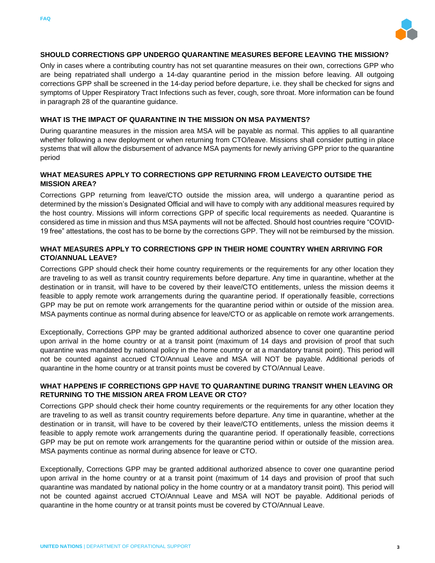



# **SHOULD CORRECTIONS GPP UNDERGO QUARANTINE MEASURES BEFORE LEAVING THE MISSION?**

Only in cases where a contributing country has not set quarantine measures on their own, corrections GPP who are being repatriated shall undergo a 14-day quarantine period in the mission before leaving. All outgoing corrections GPP shall be screened in the 14-day period before departure, i.e. they shall be checked for signs and symptoms of Upper Respiratory Tract Infections such as fever, cough, sore throat. More information can be found in paragraph 28 of the quarantine guidance.

### **WHAT IS THE IMPACT OF QUARANTINE IN THE MISSION ON MSA PAYMENTS?**

During quarantine measures in the mission area MSA will be payable as normal. This applies to all quarantine whether following a new deployment or when returning from CTO/leave. Missions shall consider putting in place systems that will allow the disbursement of advance MSA payments for newly arriving GPP prior to the quarantine period

# **WHAT MEASURES APPLY TO CORRECTIONS GPP RETURNING FROM LEAVE/CTO OUTSIDE THE MISSION AREA?**

Corrections GPP returning from leave/CTO outside the mission area, will undergo a quarantine period as determined by the mission's Designated Official and will have to comply with any additional measures required by the host country. Missions will inform corrections GPP of specific local requirements as needed. Quarantine is considered as time in mission and thus MSA payments will not be affected. Should host countries require "COVID-19 free" attestations, the cost has to be borne by the corrections GPP. They will not be reimbursed by the mission.

# **WHAT MEASURES APPLY TO CORRECTIONS GPP IN THEIR HOME COUNTRY WHEN ARRIVING FOR CTO/ANNUAL LEAVE?**

Corrections GPP should check their home country requirements or the requirements for any other location they are traveling to as well as transit country requirements before departure. Any time in quarantine, whether at the destination or in transit, will have to be covered by their leave/CTO entitlements, unless the mission deems it feasible to apply remote work arrangements during the quarantine period. If operationally feasible, corrections GPP may be put on remote work arrangements for the quarantine period within or outside of the mission area. MSA payments continue as normal during absence for leave/CTO or as applicable on remote work arrangements.

Exceptionally, Corrections GPP may be granted additional authorized absence to cover one quarantine period upon arrival in the home country or at a transit point (maximum of 14 days and provision of proof that such quarantine was mandated by national policy in the home country or at a mandatory transit point). This period will not be counted against accrued CTO/Annual Leave and MSA will NOT be payable. Additional periods of quarantine in the home country or at transit points must be covered by CTO/Annual Leave.

# **WHAT HAPPENS IF CORRECTIONS GPP HAVE TO QUARANTINE DURING TRANSIT WHEN LEAVING OR RETURNING TO THE MISSION AREA FROM LEAVE OR CTO?**

Corrections GPP should check their home country requirements or the requirements for any other location they are traveling to as well as transit country requirements before departure. Any time in quarantine, whether at the destination or in transit, will have to be covered by their leave/CTO entitlements, unless the mission deems it feasible to apply remote work arrangements during the quarantine period. If operationally feasible, corrections GPP may be put on remote work arrangements for the quarantine period within or outside of the mission area. MSA payments continue as normal during absence for leave or CTO.

Exceptionally, Corrections GPP may be granted additional authorized absence to cover one quarantine period upon arrival in the home country or at a transit point (maximum of 14 days and provision of proof that such quarantine was mandated by national policy in the home country or at a mandatory transit point). This period will not be counted against accrued CTO/Annual Leave and MSA will NOT be payable. Additional periods of quarantine in the home country or at transit points must be covered by CTO/Annual Leave.